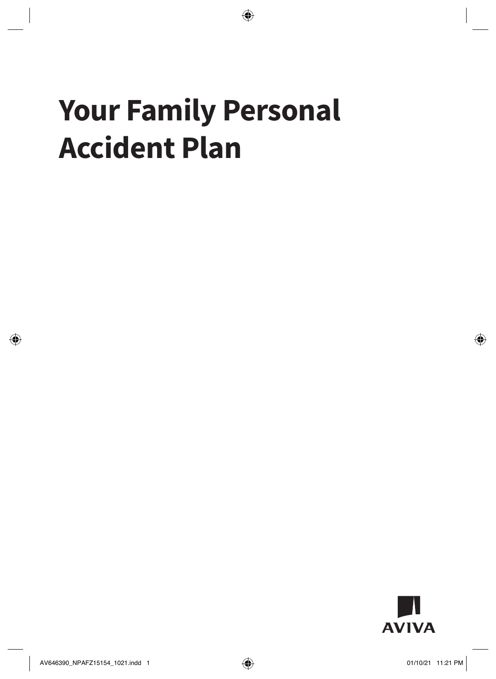# **Your Family Personal Accident Plan**

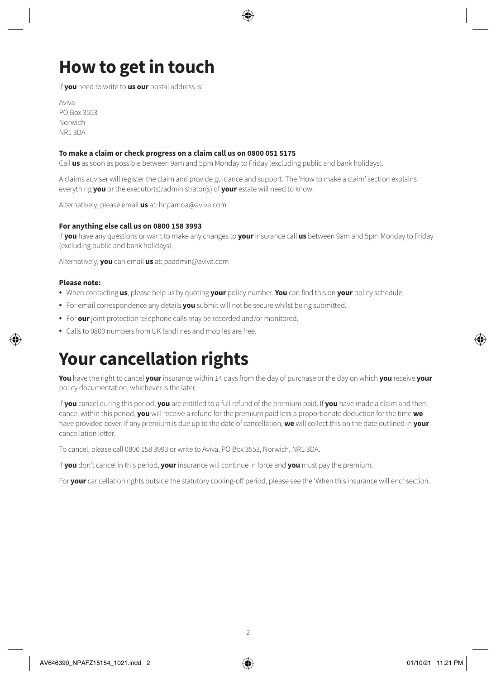# **How to get in touch**

If **you** need to write to **us our** postal address is:

Aviva PO Box 3553 Norwich NR1 3DA

#### **To make a claim or check progress on a claim call us on 0800 051 5175**

Call **us** as soon as possible between 9am and 5pm Monday to Friday (excluding public and bank holidays).

A claims adviser will register the claim and provide guidance and support. The 'How to make a claim' section explains everything **you** or the executor(s)/administrator(s) of **your** estate will need to know.

Alternatively, please email **us** at: <hcpamoa@aviva.com>

#### **For anything else call us on 0800 158 3993**

If **you** have any questions or want to make any changes to **your** insurance call **us** between 9am and 5pm Monday to Friday (excluding public and bank holidays).

Alternatively, **you** can email **us** at:<paadmin@aviva.com>

#### **Please note:**

- When contacting **us**, please help us by quoting **your** policy number. **You** can find this on **your** policy schedule.
- For email correspondence any details **you** submit will not be secure whilst being submitted.
- For **our** joint protection telephone calls may be recorded and/or monitored.
- Calls to 0800 numbers from UK landlines and mobiles are free.

### **Your cancellation rights**

**You** have the right to cancel **your** insurance within 14 days from the day of purchase or the day on which **you** receive **your** policy documentation, whichever is the later.

If **you** cancel during this period, **you** are entitled to a full refund of the premium paid. If **you** have made a claim and then cancel within this period, **you** will receive a refund for the premium paid less a proportionate deduction for the time **we** have provided cover. If any premium is due up to the date of cancellation, **we** will collect this on the date outlined in **your**  cancellation letter.

To cancel, please call 0800 158 3993 or write to Aviva, PO Box 3553, Norwich, NR1 3DA.

If **you** don't cancel in this period, **your** insurance will continue in force and **you** must pay the premium.

For **your** cancellation rights outside the statutory cooling-off period, please see the 'When this insurance will end' section.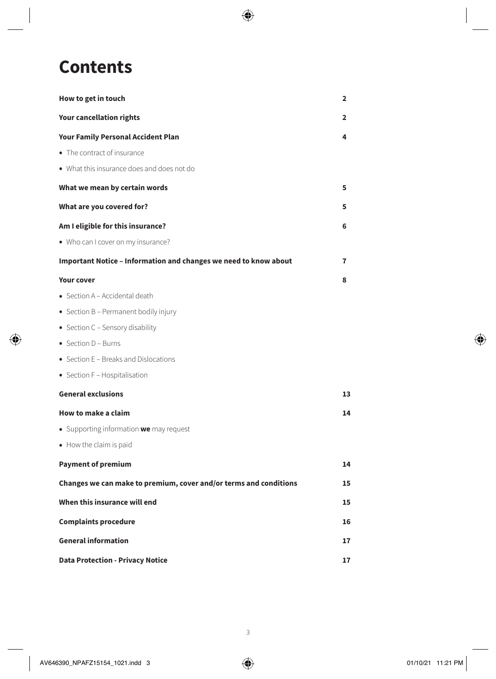# **Contents**

| How to get in touch                                               | $\overline{\mathbf{2}}$ |
|-------------------------------------------------------------------|-------------------------|
| <b>Your cancellation rights</b>                                   | 2                       |
| <b>Your Family Personal Accident Plan</b>                         | 4                       |
| • The contract of insurance                                       |                         |
| . What this insurance does and does not do                        |                         |
| What we mean by certain words                                     | 5                       |
| What are you covered for?                                         | 5                       |
| Am I eligible for this insurance?                                 | 6                       |
| • Who can I cover on my insurance?                                |                         |
| Important Notice - Information and changes we need to know about  | 7                       |
| <b>Your cover</b>                                                 | 8                       |
| • Section A - Accidental death                                    |                         |
| • Section B - Permanent bodily injury                             |                         |
| • Section C - Sensory disability                                  |                         |
| • Section D - Burns                                               |                         |
| • Section E - Breaks and Dislocations                             |                         |
| • Section F - Hospitalisation                                     |                         |
| <b>General exclusions</b>                                         | 13                      |
| How to make a claim                                               | 14                      |
| • Supporting information we may request                           |                         |
| • How the claim is paid                                           |                         |
| <b>Payment of premium</b>                                         | 14                      |
| Changes we can make to premium, cover and/or terms and conditions | 15                      |
| When this insurance will end                                      | 15                      |
| <b>Complaints procedure</b>                                       | 16                      |
| <b>General information</b>                                        |                         |
| <b>Data Protection - Privacy Notice</b>                           |                         |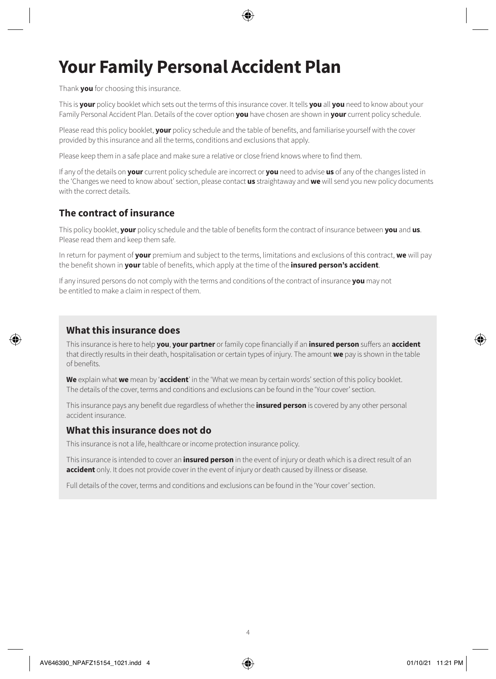# **Your Family Personal Accident Plan**

#### Thank **you** for choosing this insurance.

This is **your** policy booklet which sets out the terms of this insurance cover. It tells **you** all **you** need to know about your Family Personal Accident Plan. Details of the cover option **you** have chosen are shown in **your** current policy schedule.

Please read this policy booklet, **your** policy schedule and the table of benefits, and familiarise yourself with the cover provided by this insurance and all the terms, conditions and exclusions that apply.

Please keep them in a safe place and make sure a relative or close friend knows where to find them.

If any of the details on **your** current policy schedule are incorrect or **you** need to advise **us** of any of the changes listed in the 'Changes we need to know about' section, please contact **us** straightaway and **we** will send you new policy documents with the correct details.

### **The contract of insurance**

This policy booklet, **your** policy schedule and the table of benefits form the contract of insurance between **you** and **us**. Please read them and keep them safe.

In return for payment of **your** premium and subject to the terms, limitations and exclusions of this contract, **we** will pay the benefit shown in **your** table of benefits, which apply at the time of the **insured person's accident**.

If any insured persons do not comply with the terms and conditions of the contract of insurance **you** may not be entitled to make a claim in respect of them.

### **What this insurance does**

This insurance is here to help **you**, **your partner** or family cope financially if an **insured person** suffers an **accident** that directly results in their death, hospitalisation or certain types of injury. The amount **we** pay is shown in the table of benefits.

**We** explain what **we** mean by '**accident**' in the 'What we mean by certain words' section of this policy booklet. The details of the cover, terms and conditions and exclusions can be found in the 'Your cover' section.

This insurance pays any benefit due regardless of whether the **insured person** is covered by any other personal accident insurance.

### **What this insurance does not do**

This insurance is not a life, healthcare or income protection insurance policy.

This insurance is intended to cover an **insured person** in the event of injury or death which is a direct result of an **accident** only. It does not provide cover in the event of injury or death caused by illness or disease.

Full details of the cover, terms and conditions and exclusions can be found in the 'Your cover' section.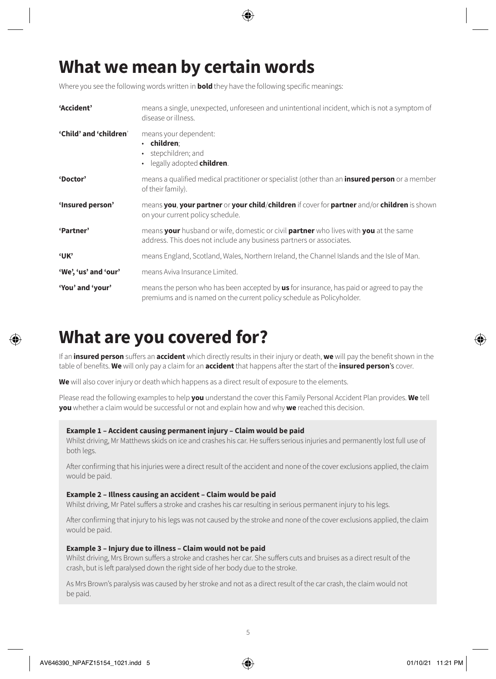# **What we mean by certain words**

Where you see the following words written in **bold** they have the following specific meanings:

| 'Accident'             | means a single, unexpected, unforeseen and unintentional incident, which is not a symptom of<br>disease or illness.                                                       |
|------------------------|---------------------------------------------------------------------------------------------------------------------------------------------------------------------------|
| 'Child' and 'children' | means your dependent:<br>$\cdot$ children:<br>· stepchildren; and<br>• legally adopted children.                                                                          |
| 'Doctor'               | means a qualified medical practitioner or specialist (other than an <b>insured person</b> or a member<br>of their family).                                                |
| 'Insured person'       | means you, your partner or your child/children if cover for partner and/or children is shown<br>on your current policy schedule.                                          |
| 'Partner'              | means your husband or wife, domestic or civil partner who lives with you at the same<br>address. This does not include any business partners or associates.               |
| 'UК'                   | means England, Scotland, Wales, Northern Ireland, the Channel Islands and the Isle of Man.                                                                                |
| 'We', 'us' and 'our'   | means Aviva Insurance Limited.                                                                                                                                            |
| 'You' and 'your'       | means the person who has been accepted by <b>us</b> for insurance, has paid or agreed to pay the<br>premiums and is named on the current policy schedule as Policyholder. |

### **What are you covered for?**

If an **insured person** suffers an **accident** which directly results in their injury or death, **we** will pay the benefit shown in the table of benefits. **We** will only pay a claim for an **accident** that happens after the start of the **insured person**'s cover.

**We** will also cover injury or death which happens as a direct result of exposure to the elements.

Please read the following examples to help **you** understand the cover this Family Personal Accident Plan provides. **We** tell **you** whether a claim would be successful or not and explain how and why **we** reached this decision.

#### **Example 1 – Accident causing permanent injury – Claim would be paid**

Whilst driving, Mr Matthews skids on ice and crashes his car. He suffers serious injuries and permanently lost full use of both legs.

After confirming that his injuries were a direct result of the accident and none of the cover exclusions applied, the claim would be paid.

#### **Example 2 – Illness causing an accident – Claim would be paid**

Whilst driving, Mr Patel suffers a stroke and crashes his car resulting in serious permanent injury to his legs.

After confirming that injury to his legs was not caused by the stroke and none of the cover exclusions applied, the claim would be paid.

#### **Example 3 – Injury due to illness – Claim would not be paid**

Whilst driving, Mrs Brown suffers a stroke and crashes her car. She suffers cuts and bruises as a direct result of the crash, but is left paralysed down the right side of her body due to the stroke.

As Mrs Brown's paralysis was caused by her stroke and not as a direct result of the car crash, the claim would not be paid.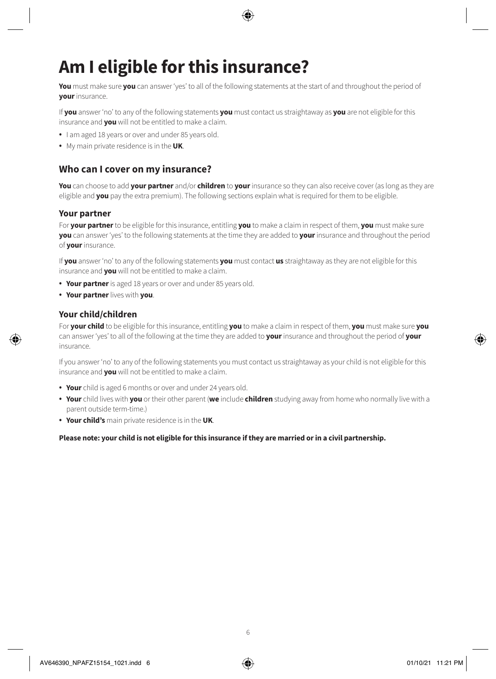# **Am I eligible for this insurance?**

**You** must make sure **you** can answer 'yes' to all of the following statements at the start of and throughout the period of **your** insurance.

If **you** answer 'no' to any of the following statements **you** must contact us straightaway as **you** are not eligible for this insurance and **you** will not be entitled to make a claim.

- I am aged 18 years or over and under 85 years old.
- My main private residence is in the **UK**.

### **Who can I cover on my insurance?**

**You** can choose to add **your partner** and/or **children** to **your** insurance so they can also receive cover (as long as they are eligible and **you** pay the extra premium). The following sections explain what is required for them to be eligible.

#### **Your partner**

For **your partner** to be eligible for this insurance, entitling **you** to make a claim in respect of them, **you** must make sure **you** can answer 'yes' to the following statements at the time they are added to **your** insurance and throughout the period of **your** insurance.

If **you** answer 'no' to any of the following statements **you** must contact **us** straightaway as they are not eligible for this insurance and **you** will not be entitled to make a claim.

- **Your partner** is aged 18 years or over and under 85 years old.
- **Your partner** lives with **you**.

#### **Your child/children**

For **your child** to be eligible for this insurance, entitling **you** to make a claim in respect of them, **you** must make sure **you** can answer 'yes' to all of the following at the time they are added to **your** insurance and throughout the period of **your** insurance.

If you answer 'no' to any of the following statements you must contact us straightaway as your child is not eligible for this insurance and **you** will not be entitled to make a claim.

- **Your** child is aged 6 months or over and under 24 years old.
- **Your** child lives with **you** or their other parent (**we** include **children** studying away from home who normally live with a parent outside term-time.)
- **Your child's** main private residence is in the **UK**.

#### **Please note: your child is not eligible for this insurance if they are married or in a civil partnership.**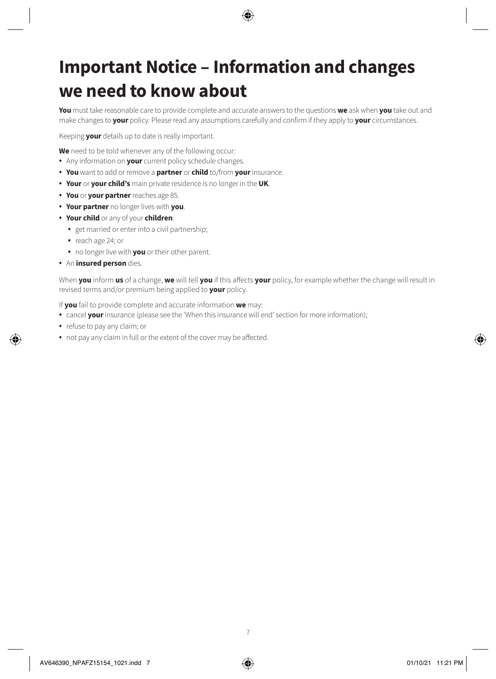# **Important Notice – Information and changes we need to know about**

**You** must take reasonable care to provide complete and accurate answers to the questions **we** ask when **you** take out and make changes to **your** policy. Please read any assumptions carefully and confirm if they apply to **your** circumstances.

Keeping **your** details up to date is really important.

**We** need to be told whenever any of the following occur:

- Any information on **your** current policy schedule changes.
- **You** want to add or remove a **partner** or **child** to/from **your** insurance.
- **Your** or **your child's** main private residence is no longer in the **UK**.
- **You** or **your partner** reaches age 85.
- **Your partner** no longer lives with **you**.
- **Your child** or any of your **children**:
	- get married or enter into a civil partnership;
	- reach age 24; or
	- no longer live with **you** or their other parent.
- An **insured person** dies.

When **you** inform **us** of a change, **we** will tell **you** if this affects **your** policy, for example whether the change will result in revised terms and/or premium being applied to **your** policy.

If **you** fail to provide complete and accurate information **we** may:

- cancel **your** insurance (please see the 'When this insurance will end' section for more information);
- refuse to pay any claim; or
- not pay any claim in full or the extent of the cover may be affected.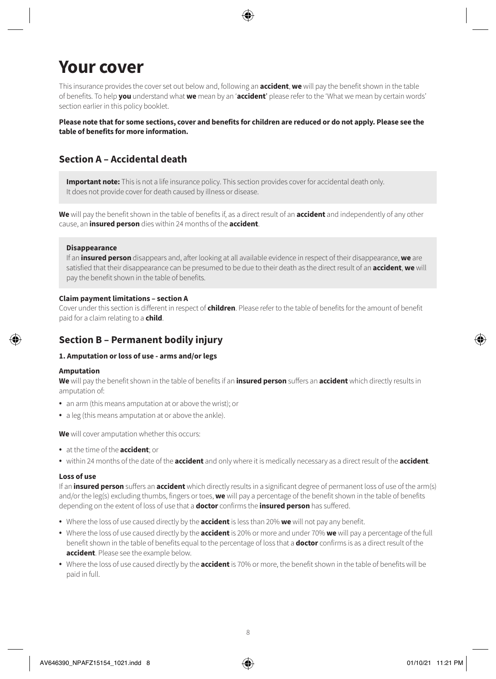# **Your cover**

This insurance provides the cover set out below and, following an **accident**, **we** will pay the benefit shown in the table of benefits. To help **you** understand what **we** mean by an '**accident**' please refer to the 'What we mean by certain words' section earlier in this policy booklet.

**Please note that for some sections, cover and benefits for children are reduced or do not apply. Please see the table of benefits for more information.**

### **Section A – Accidental death**

**Important note:** This is not a life insurance policy. This section provides cover for accidental death only. It does not provide cover for death caused by illness or disease.

**We** will pay the benefit shown in the table of benefits if, as a direct result of an **accident** and independently of any other cause, an **insured person** dies within 24 months of the **accident**.

#### **Disappearance**

If an **insured person** disappears and, after looking at all available evidence in respect of their disappearance, **we** are satisfied that their disappearance can be presumed to be due to their death as the direct result of an **accident**, **we** will pay the benefit shown in the table of benefits.

#### **Claim payment limitations – section A**

Cover under this section is different in respect of **children**. Please refer to the table of benefits for the amount of benefit paid for a claim relating to a **child**.

### **Section B – Permanent bodily injury**

#### **1. Amputation or loss of use - arms and/or legs**

#### **Amputation**

**We** will pay the benefit shown in the table of benefits if an **insured person** suffers an **accident** which directly results in amputation of:

- an arm (this means amputation at or above the wrist); or
- a leg (this means amputation at or above the ankle).

**We** will cover amputation whether this occurs:

- at the time of the **accident**; or
- within 24 months of the date of the **accident** and only where it is medically necessary as a direct result of the **accident**.

#### **Loss of use**

If an **insured person** suffers an **accident** which directly results in a significant degree of permanent loss of use of the arm(s) and/or the leg(s) excluding thumbs, fingers or toes, **we** will pay a percentage of the benefit shown in the table of benefits depending on the extent of loss of use that a **doctor** confirms the **insured person** has suffered.

- Where the loss of use caused directly by the **accident** is less than 20% **we** will not pay any benefit.
- Where the loss of use caused directly by the **accident** is 20% or more and under 70% **we** will pay a percentage of the full benefit shown in the table of benefits equal to the percentage of loss that a **doctor** confirms is as a direct result of the **accident**. Please see the example below.
- Where the loss of use caused directly by the **accident** is 70% or more, the benefit shown in the table of benefits will be paid in full.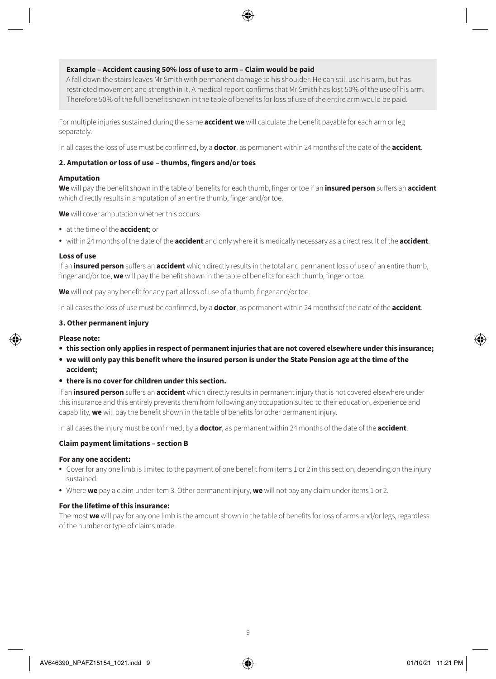#### **Example – Accident causing 50% loss of use to arm – Claim would be paid**

A fall down the stairs leaves Mr Smith with permanent damage to his shoulder. He can still use his arm, but has restricted movement and strength in it. A medical report confirms that Mr Smith has lost 50% of the use of his arm. Therefore 50% of the full benefit shown in the table of benefits for loss of use of the entire arm would be paid.

For multiple injuries sustained during the same **accident we** will calculate the benefit payable for each arm or leg separately.

In all cases the loss of use must be confirmed, by a **doctor**, as permanent within 24 months of the date of the **accident**.

#### **2. Amputation or loss of use – thumbs, fingers and/or toes**

#### **Amputation**

**We** will pay the benefit shown in the table of benefits for each thumb, finger or toe if an **insured person** suffers an **accident** which directly results in amputation of an entire thumb, finger and/or toe.

**We** will cover amputation whether this occurs:

- at the time of the **accident**; or
- within 24 months of the date of the **accident** and only where it is medically necessary as a direct result of the **accident**.

#### **Loss of use**

If an **insured person** suffers an **accident** which directly results in the total and permanent loss of use of an entire thumb, finger and/or toe, **we** will pay the benefit shown in the table of benefits for each thumb, finger or toe.

**We** will not pay any benefit for any partial loss of use of a thumb, finger and/or toe.

In all cases the loss of use must be confirmed, by a **doctor**, as permanent within 24 months of the date of the **accident**.

#### **3. Other permanent injury**

#### **Please note:**

- **• this section only applies in respect of permanent injuries that are not covered elsewhere under this insurance;**
- **• we will only pay this benefit where the insured person is under the State Pension age at the time of the accident;**
- **• there is no cover for children under this section.**

If an **insured person** suffers an **accident** which directly results in permanent injury that is not covered elsewhere under this insurance and this entirely prevents them from following any occupation suited to their education, experience and capability, **we** will pay the benefit shown in the table of benefits for other permanent injury.

In all cases the injury must be confirmed, by a **doctor**, as permanent within 24 months of the date of the **accident**.

#### **Claim payment limitations – section B**

#### **For any one accident:**

- Cover for any one limb is limited to the payment of one benefit from items 1 or 2 in this section, depending on the injury sustained.
- Where **we** pay a claim under item 3. Other permanent injury, **we** will not pay any claim under items 1 or 2.

#### **For the lifetime of this insurance:**

The most **we** will pay for any one limb is the amount shown in the table of benefits for loss of arms and/or legs, regardless of the number or type of claims made.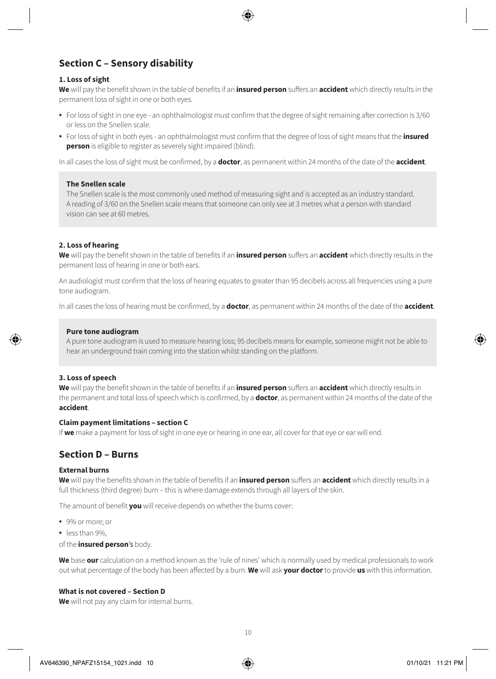### **Section C – Sensory disability**

#### **1. Loss of sight**

**We** will pay the benefit shown in the table of benefits if an **insured person** suffers an **accident** which directly results in the permanent loss of sight in one or both eyes.

- For loss of sight in one eye an ophthalmologist must confirm that the degree of sight remaining after correction is 3/60 or less on the Snellen scale.
- For loss of sight in both eyes an ophthalmologist must confirm that the degree of loss of sight means that the **insured person** is eligible to register as severely sight impaired (blind).

In all cases the loss of sight must be confirmed, by a **doctor**, as permanent within 24 months of the date of the **accident**.

#### **The Snellen scale**

The Snellen scale is the most commonly used method of measuring sight and is accepted as an industry standard. A reading of 3/60 on the Snellen scale means that someone can only see at 3 metres what a person with standard vision can see at 60 metres.

#### **2. Loss of hearing**

**We** will pay the benefit shown in the table of benefits if an **insured person** suffers an **accident** which directly results in the permanent loss of hearing in one or both ears.

An audiologist must confirm that the loss of hearing equates to greater than 95 decibels across all frequencies using a pure tone audiogram.

In all cases the loss of hearing must be confirmed, by a **doctor**, as permanent within 24 months of the date of the **accident**.

#### **Pure tone audiogram**

A pure tone audiogram is used to measure hearing loss; 95 decibels means for example, someone might not be able to hear an underground train coming into the station whilst standing on the platform.

#### **3. Loss of speech**

**We** will pay the benefit shown in the table of benefits if an **insured person** suffers an **accident** which directly results in the permanent and total loss of speech which is confirmed, by a **doctor**, as permanent within 24 months of the date of the **accident**.

#### **Claim payment limitations – section C**

If **we** make a payment for loss of sight in one eye or hearing in one ear, all cover for that eye or ear will end.

### **Section D – Burns**

#### **External burns**

**We** will pay the benefits shown in the table of benefits if an **insured person** suffers an **accident** which directly results in a full thickness (third degree) burn – this is where damage extends through all layers of the skin.

The amount of benefit **you** will receive depends on whether the burns cover:

- 9% or more; or
- less than 9%,
- of the **insured person**'s body.

**We** base **our** calculation on a method known as the 'rule of nines' which is normally used by medical professionals to work out what percentage of the body has been affected by a burn. **We** will ask **your doctor** to provide **us** with this information.

#### **What is not covered – Section D**

**We** will not pay any claim for internal burns.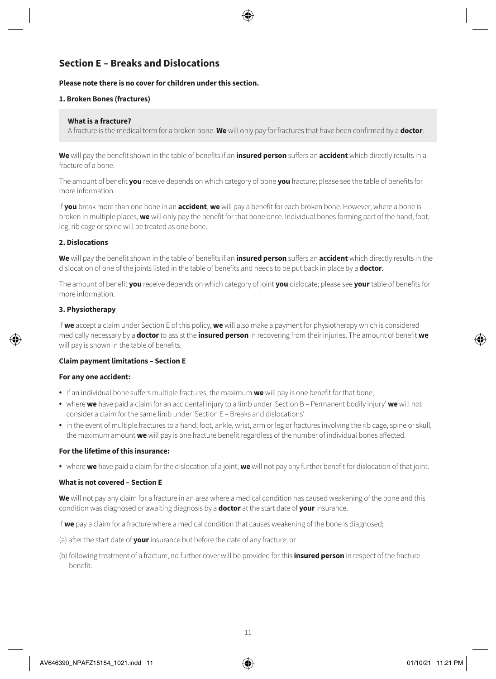### **Section E – Breaks and Dislocations**

#### **Please note there is no cover for children under this section.**

#### **1. Broken Bones (fractures)**

#### **What is a fracture?**

A fracture is the medical term for a broken bone. **We** will only pay for fractures that have been confirmed by a **doctor**.

**We** will pay the benefit shown in the table of benefits if an **insured person** suffers an **accident** which directly results in a fracture of a bone.

The amount of benefit **you** receive depends on which category of bone **you** fracture; please see the table of benefits for more information.

If **you** break more than one bone in an **accident**, **we** will pay a benefit for each broken bone. However, where a bone is broken in multiple places, **we** will only pay the benefit for that bone once. Individual bones forming part of the hand, foot, leg, rib cage or spine will be treated as one bone.

#### **2. Dislocations**

**We** will pay the benefit shown in the table of benefits if an **insured person** suffers an **accident** which directly results in the dislocation of one of the joints listed in the table of benefits and needs to be put back in place by a **doctor**.

The amount of benefit **you** receive depends on which category of joint **you** dislocate; please see **your** table of benefits for more information.

#### **3. Physiotherapy**

If **we** accept a claim under Section E of this policy, **we** will also make a payment for physiotherapy which is considered medically necessary by a **doctor** to assist the **insured person** in recovering from their injuries. The amount of benefit **we** will pay is shown in the table of benefits.

#### **Claim payment limitations – Section E**

#### **For any one accident:**

- if an individual bone suffers multiple fractures, the maximum **we** will pay is one benefit for that bone;
- where **we** have paid a claim for an accidental injury to a limb under 'Section B Permanent bodily injury' **we** will not consider a claim for the same limb under 'Section E – Breaks and dislocations'
- in the event of multiple fractures to a hand, foot, ankle, wrist, arm or leg or fractures involving the rib cage, spine or skull, the maximum amount **we** will pay is one fracture benefit regardless of the number of individual bones affected.

#### **For the lifetime of this insurance:**

• where **we** have paid a claim for the dislocation of a joint, **we** will not pay any further benefit for dislocation of that joint.

#### **What is not covered – Section E**

**We** will not pay any claim for a fracture in an area where a medical condition has caused weakening of the bone and this condition was diagnosed or awaiting diagnosis by a **doctor** at the start date of **your** insurance.

If **we** pay a claim for a fracture where a medical condition that causes weakening of the bone is diagnosed;

- (a) after the start date of **your** insurance but before the date of any fracture; or
- (b) following treatment of a fracture, no further cover will be provided for this **insured person** in respect of the fracture benefit.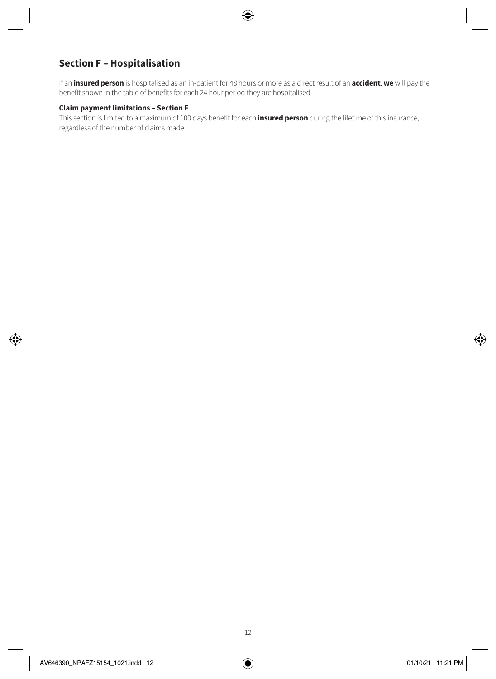### **Section F – Hospitalisation**

If an **insured person** is hospitalised as an in-patient for 48 hours or more as a direct result of an **accident**, **we** will pay the benefit shown in the table of benefits for each 24 hour period they are hospitalised.

#### **Claim payment limitations – Section F**

This section is limited to a maximum of 100 days benefit for each **insured person** during the lifetime of this insurance, regardless of the number of claims made.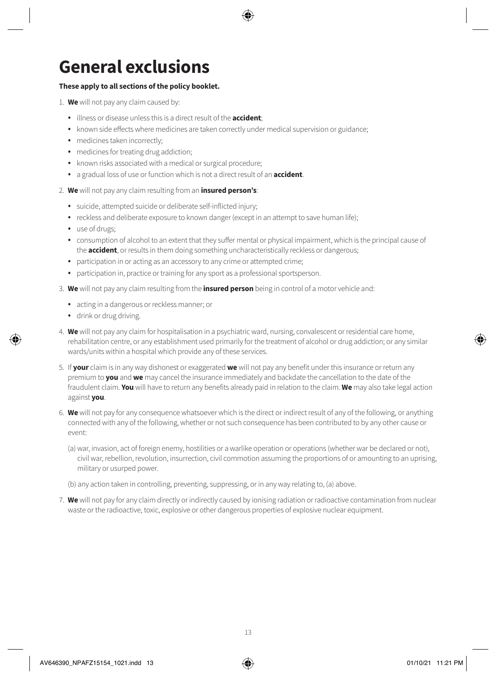# **General exclusions**

#### **These apply to all sections of the policy booklet.**

- 1. **We** will not pay any claim caused by:
	- illness or disease unless this is a direct result of the **accident**;
	- known side effects where medicines are taken correctly under medical supervision or guidance;
	- medicines taken incorrectly:
	- medicines for treating drug addiction;
	- known risks associated with a medical or surgical procedure;
	- a gradual loss of use or function which is not a direct result of an **accident**.
- 2. **We** will not pay any claim resulting from an **insured person's**:
	- suicide, attempted suicide or deliberate self-inflicted injury;
	- reckless and deliberate exposure to known danger (except in an attempt to save human life);
	- use of drugs;
	- consumption of alcohol to an extent that they suffer mental or physical impairment, which is the principal cause of the **accident**, or results in them doing something uncharacteristically reckless or dangerous;
	- participation in or acting as an accessory to any crime or attempted crime;
	- participation in, practice or training for any sport as a professional sportsperson.
- 3. **We** will not pay any claim resulting from the **insured person** being in control of a motor vehicle and:
	- acting in a dangerous or reckless manner; or
	- drink or drug driving.
- 4. **We** will not pay any claim for hospitalisation in a psychiatric ward, nursing, convalescent or residential care home, rehabilitation centre, or any establishment used primarily for the treatment of alcohol or drug addiction; or any similar wards/units within a hospital which provide any of these services.
- 5. If **your** claim is in any way dishonest or exaggerated **we** will not pay any benefit under this insurance or return any premium to **you** and **we** may cancel the insurance immediately and backdate the cancellation to the date of the fraudulent claim. **You** will have to return any benefits already paid in relation to the claim. **We** may also take legal action against **you**.
- 6. **We** will not pay for any consequence whatsoever which is the direct or indirect result of any of the following, or anything connected with any of the following, whether or not such consequence has been contributed to by any other cause or event:
	- (a) war, invasion, act of foreign enemy, hostilities or a warlike operation or operations (whether war be declared or not), civil war, rebellion, revolution, insurrection, civil commotion assuming the proportions of or amounting to an uprising, military or usurped power.
	- (b) any action taken in controlling, preventing, suppressing, or in any way relating to, (a) above.
- 7. **We** will not pay for any claim directly or indirectly caused by ionising radiation or radioactive contamination from nuclear waste or the radioactive, toxic, explosive or other dangerous properties of explosive nuclear equipment.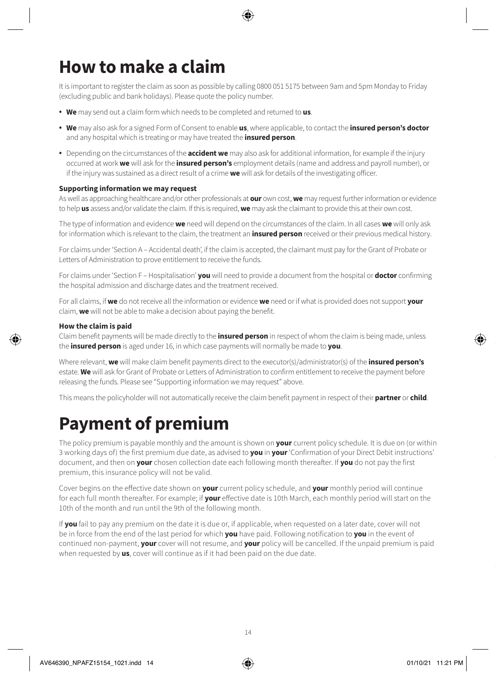# **How to make a claim**

It is important to register the claim as soon as possible by calling 0800 051 5175 between 9am and 5pm Monday to Friday (excluding public and bank holidays). Please quote the policy number.

- **We** may send out a claim form which needs to be completed and returned to **us**.
- **We** may also ask for a signed Form of Consent to enable **us**, where applicable, to contact the **insured person's doctor** and any hospital which is treating or may have treated the **insured person**.
- Depending on the circumstances of the **accident we** may also ask for additional information, for example if the injury occurred at work **we** will ask for the **insured person's** employment details (name and address and payroll number), or if the injury was sustained as a direct result of a crime **we** will ask for details of the investigating officer.

#### **Supporting information we may request**

As well as approaching healthcare and/or other professionals at **our** own cost, **we** may request further information or evidence to help **us** assess and/or validate the claim. If this is required, **we** may ask the claimant to provide this at their own cost.

The type of information and evidence **we** need will depend on the circumstances of the claim. In all cases **we** will only ask for information which is relevant to the claim, the treatment an **insured person** received or their previous medical history.

For claims under 'Section A – Accidental death', if the claim is accepted, the claimant must pay for the Grant of Probate or Letters of Administration to prove entitlement to receive the funds.

For claims under 'Section F – Hospitalisation' **you** will need to provide a document from the hospital or **doctor** confirming the hospital admission and discharge dates and the treatment received.

For all claims, if **we** do not receive all the information or evidence **we** need or if what is provided does not support **your** claim, **we** will not be able to make a decision about paying the benefit.

#### **How the claim is paid**

Claim benefit payments will be made directly to the **insured person** in respect of whom the claim is being made, unless the **insured person** is aged under 16, in which case payments will normally be made to **you**.

Where relevant, **we** will make claim benefit payments direct to the executor(s)/administrator(s) of the **insured person's** estate. **We** will ask for Grant of Probate or Letters of Administration to confirm entitlement to receive the payment before releasing the funds. Please see "Supporting information we may request" above.

This means the policyholder will not automatically receive the claim benefit payment in respect of their **partner** or **child**.

# **Payment of premium**

The policy premium is payable monthly and the amount is shown on **your** current policy schedule. It is due on (or within 3 working days of) the first premium due date, as advised to **you** in **your** 'Confirmation of your Direct Debit instructions' document, and then on **your** chosen collection date each following month thereafter. If **you** do not pay the first premium, this insurance policy will not be valid.

Cover begins on the effective date shown on **your** current policy schedule, and **your** monthly period will continue for each full month thereafter. For example; if **your** effective date is 10th March, each monthly period will start on the 10th of the month and run until the 9th of the following month.

If **you** fail to pay any premium on the date it is due or, if applicable, when requested on a later date, cover will not be in force from the end of the last period for which **you** have paid. Following notification to **you** in the event of continued non-payment, **your** cover will not resume, and **your** policy will be cancelled. If the unpaid premium is paid when requested by **us**, cover will continue as if it had been paid on the due date.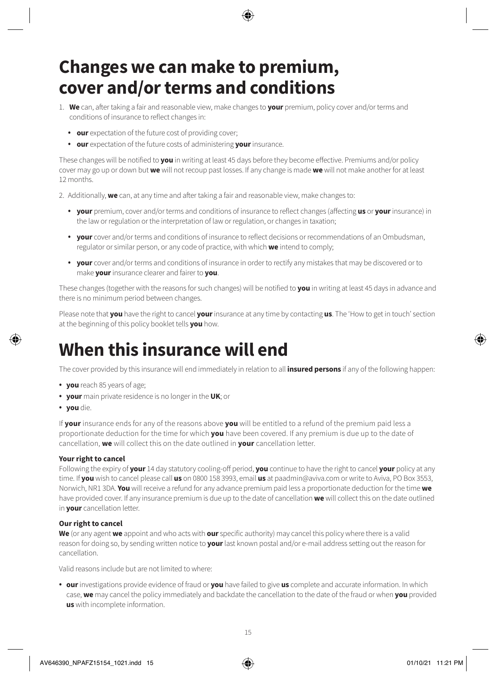# **Changes we can make to premium, cover and/or terms and conditions**

- 1. **We** can, after taking a fair and reasonable view, make changes to **your** premium, policy cover and/or terms and conditions of insurance to reflect changes in:
	- **our** expectation of the future cost of providing cover;
	- **our** expectation of the future costs of administering **your** insurance.

These changes will be notified to **you** in writing at least 45 days before they become effective. Premiums and/or policy cover may go up or down but **we** will not recoup past losses. If any change is made **we** will not make another for at least 12 months.

2. Additionally, **we** can, at any time and after taking a fair and reasonable view, make changes to:

- **your** premium, cover and/or terms and conditions of insurance to reflect changes (affecting **us** or **your** insurance) in the law or regulation or the interpretation of law or regulation, or changes in taxation;
- **your** cover and/or terms and conditions of insurance to reflect decisions or recommendations of an Ombudsman, regulator or similar person, or any code of practice, with which **we** intend to comply;
- **your** cover and/or terms and conditions of insurance in order to rectify any mistakes that may be discovered or to make **your** insurance clearer and fairer to **you**.

These changes (together with the reasons for such changes) will be notified to **you** in writing at least 45 days in advance and there is no minimum period between changes.

Please note that **you** have the right to cancel **your** insurance at any time by contacting **us**. The 'How to get in touch' section at the beginning of this policy booklet tells **you** how.

# **When this insurance will end**

The cover provided by this insurance will end immediately in relation to all **insured persons** if any of the following happen:

- **you** reach 85 years of age;
- **your** main private residence is no longer in the **UK**; or
- **you** die.

If **your** insurance ends for any of the reasons above **you** will be entitled to a refund of the premium paid less a proportionate deduction for the time for which **you** have been covered. If any premium is due up to the date of cancellation, **we** will collect this on the date outlined in **your** cancellation letter.

#### **Your right to cancel**

Following the expiry of **your** 14 day statutory cooling-off period, **you** continue to have the right to cancel **your** policy at any time. If **you** wish to cancel please call **us** on 0800 158 3993, email **us** at paadmin@aviva.com or write to Aviva, PO Box 3553, Norwich, NR1 3DA. **You** will receive a refund for any advance premium paid less a proportionate deduction for the time **we**  have provided cover. If any insurance premium is due up to the date of cancellation **we** will collect this on the date outlined in **your** cancellation letter.

#### **Our right to cancel**

**We** (or any agent **we** appoint and who acts with **our** specific authority) may cancel this policy where there is a valid reason for doing so, by sending written notice to **your** last known postal and/or e-mail address setting out the reason for cancellation.

Valid reasons include but are not limited to where:

• **our** investigations provide evidence of fraud or **you** have failed to give **us** complete and accurate information. In which case, **we** may cancel the policy immediately and backdate the cancellation to the date of the fraud or when **you** provided **us** with incomplete information.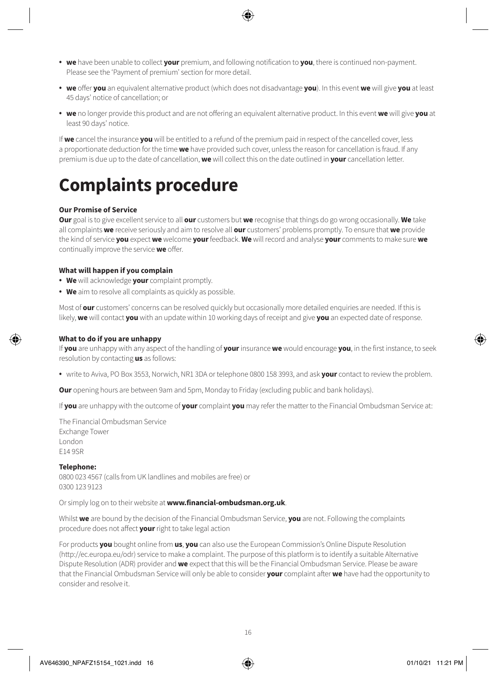- **we** have been unable to collect **your** premium, and following notification to **you**, there is continued non-payment. Please see the 'Payment of premium' section for more detail.
- **we** offer **you** an equivalent alternative product (which does not disadvantage **you**). In this event **we** will give **you** at least 45 days' notice of cancellation; or
- **we** no longer provide this product and are not offering an equivalent alternative product. In this event **we** will give **you** at least 90 days' notice.

If **we** cancel the insurance **you** will be entitled to a refund of the premium paid in respect of the cancelled cover, less a proportionate deduction for the time **we** have provided such cover, unless the reason for cancellation is fraud. If any premium is due up to the date of cancellation, **we** will collect this on the date outlined in **your** cancellation letter.

# **Complaints procedure**

#### **Our Promise of Service**

**Our** goal is to give excellent service to all **our** customers but **we** recognise that things do go wrong occasionally. **We** take all complaints **we** receive seriously and aim to resolve all **our** customers' problems promptly. To ensure that **we** provide the kind of service **you** expect **we** welcome **your** feedback. **We** will record and analyse **your** comments to make sure **we** continually improve the service **we** offer.

#### **What will happen if you complain**

- **We** will acknowledge **your** complaint promptly.
- **We** aim to resolve all complaints as quickly as possible.

Most of **our** customers' concerns can be resolved quickly but occasionally more detailed enquiries are needed. If this is likely, **we** will contact **you** with an update within 10 working days of receipt and give **you** an expected date of response.

#### **What to do if you are unhappy**

If **you** are unhappy with any aspect of the handling of **your** insurance **we** would encourage **you**, in the first instance, to seek resolution by contacting **us** as follows:

• write to Aviva, PO Box 3553, Norwich, NR1 3DA or telephone 0800 158 3993, and ask **your** contact to review the problem.

**Our** opening hours are between 9am and 5pm, Monday to Friday (excluding public and bank holidays).

If **you** are unhappy with the outcome of **your** complaint **you** may refer the matter to the Financial Ombudsman Service at:

The Financial Ombudsman Service Exchange Tower London E14 9SR

#### **Telephone:**

0800 023 4567 (calls from UK landlines and mobiles are free) or 0300 123 9123

Or simply log on to their website at **[www.financial-ombudsman.org.uk](http://www.financial-ombudsman.org.uk)**.

Whilst **we** are bound by the decision of the Financial Ombudsman Service, **you** are not. Following the complaints procedure does not affect **your** right to take legal action

For products **you** bought online from **us**, **you** can also use the European Commission's Online Dispute Resolution (<http://ec.europa.eu/odr>) service to make a complaint. The purpose of this platform is to identify a suitable Alternative Dispute Resolution (ADR) provider and **we** expect that this will be the Financial Ombudsman Service. Please be aware that the Financial Ombudsman Service will only be able to consider **your** complaint after **we** have had the opportunity to consider and resolve it.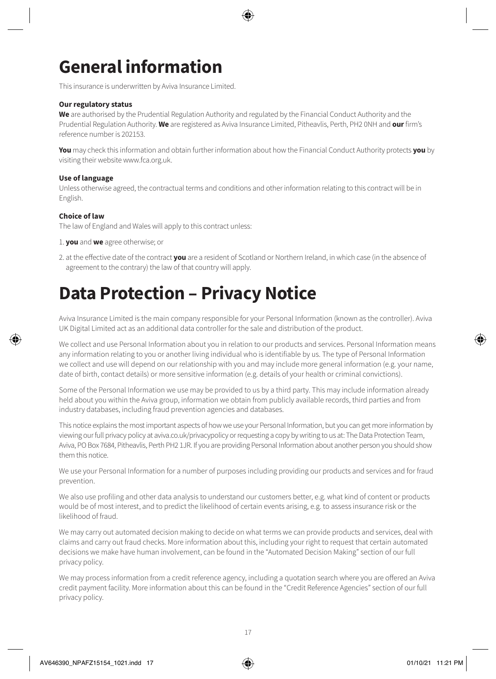# **General information**

This insurance is underwritten by Aviva Insurance Limited.

#### **Our regulatory status**

**We** are authorised by the Prudential Regulation Authority and regulated by the Financial Conduct Authority and the Prudential Regulation Authority. **We** are registered as Aviva Insurance Limited, Pitheavlis, Perth, PH2 0NH and **our** firm's reference number is 202153.

**You** may check this information and obtain further information about how the Financial Conduct Authority protects **you** by visiting their website [www.fca.org.uk.](http://www.fca.org.uk)

#### **Use of language**

Unless otherwise agreed, the contractual terms and conditions and other information relating to this contract will be in English.

#### **Choice of law**

The law of England and Wales will apply to this contract unless:

- 1. **you** and **we** agree otherwise; or
- 2. at the effective date of the contract **you** are a resident of Scotland or Northern Ireland, in which case (in the absence of agreement to the contrary) the law of that country will apply.

### **Data Protection – Privacy Notice**

Aviva Insurance Limited is the main company responsible for your Personal Information (known as the controller). Aviva UK Digital Limited act as an additional data controller for the sale and distribution of the product.

We collect and use Personal Information about you in relation to our products and services. Personal Information means any information relating to you or another living individual who is identifiable by us. The type of Personal Information we collect and use will depend on our relationship with you and may include more general information (e.g. your name, date of birth, contact details) or more sensitive information (e.g. details of your health or criminal convictions).

Some of the Personal Information we use may be provided to us by a third party. This may include information already held about you within the Aviva group, information we obtain from publicly available records, third parties and from industry databases, including fraud prevention agencies and databases.

This notice explains the most important aspects of how we use your Personal Information, but you can get more information by viewing our full privacy policy at [aviva.co.uk/privacypolicy](http://www.aviva.co.uk/privacypolicy) or requesting a copy by writing to us at: The Data Protection Team, Aviva, PO Box 7684, Pitheavlis, Perth PH2 1JR. If you are providing Personal Information about another person you should show them this notice.

We use your Personal Information for a number of purposes including providing our products and services and for fraud prevention.

We also use profiling and other data analysis to understand our customers better, e.g. what kind of content or products would be of most interest, and to predict the likelihood of certain events arising, e.g. to assess insurance risk or the likelihood of fraud.

We may carry out automated decision making to decide on what terms we can provide products and services, deal with claims and carry out fraud checks. More information about this, including your right to request that certain automated decisions we make have human involvement, can be found in the "Automated Decision Making" section of our full privacy policy.

We may process information from a credit reference agency, including a quotation search where you are offered an Aviva credit payment facility. More information about this can be found in the "Credit Reference Agencies" section of our full privacy policy.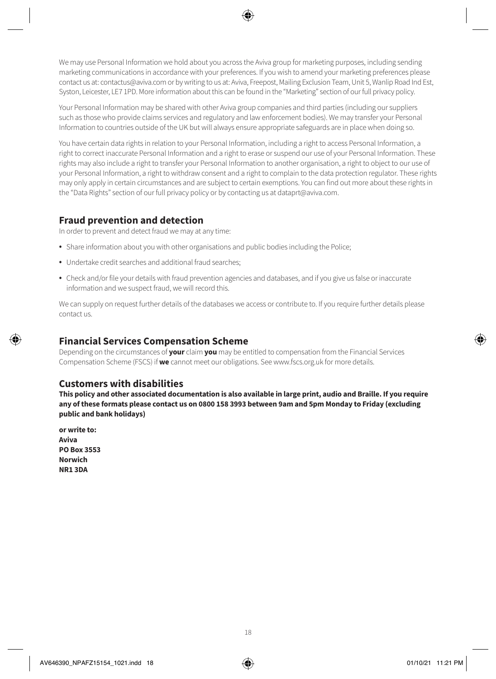We may use Personal Information we hold about you across the Aviva group for marketing purposes, including sending marketing communications in accordance with your preferences. If you wish to amend your marketing preferences please contact us at: [contactus@aviva.com](mailto:contactus@aviva.com) or by writing to us at: Aviva, Freepost, Mailing Exclusion Team, Unit 5, Wanlip Road Ind Est, Syston, Leicester, LE7 1PD. More information about this can be found in the "Marketing" section of our full privacy policy.

Your Personal Information may be shared with other Aviva group companies and third parties (including our suppliers such as those who provide claims services and regulatory and law enforcement bodies). We may transfer your Personal Information to countries outside of the UK but will always ensure appropriate safeguards are in place when doing so.

You have certain data rights in relation to your Personal Information, including a right to access Personal Information, a right to correct inaccurate Personal Information and a right to erase or suspend our use of your Personal Information. These rights may also include a right to transfer your Personal Information to another organisation, a right to object to our use of your Personal Information, a right to withdraw consent and a right to complain to the data protection regulator. These rights may only apply in certain circumstances and are subject to certain exemptions. You can find out more about these rights in the "Data Rights" section of our full privacy policy or by contacting us at [dataprt@aviva.com](mailto:dataprt@aviva.com).

### **Fraud prevention and detection**

In order to prevent and detect fraud we may at any time:

- Share information about you with other organisations and public bodies including the Police;
- Undertake credit searches and additional fraud searches;
- Check and/or file your details with fraud prevention agencies and databases, and if you give us false or inaccurate information and we suspect fraud, we will record this.

We can supply on request further details of the databases we access or contribute to. If you require further details please contact us.

### **Financial Services Compensation Scheme**

Depending on the circumstances of **your** claim **you** may be entitled to compensation from the Financial Services Compensation Scheme (FSCS) if **we** cannot meet our obligations. See <www.fscs.org.uk>for more details.

### **Customers with disabilities**

**This policy and other associated documentation is also available in large print, audio and Braille. If you require any of these formats please contact us on 0800 158 3993 between 9am and 5pm Monday to Friday (excluding public and bank holidays)**

**or write to: Aviva PO Box 3553 Norwich NR1 3DA**